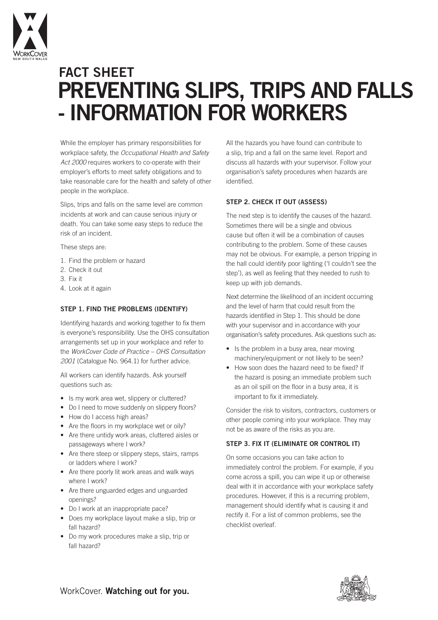

# **PREVENTING SLIPS, TRIPS AND FALLS - INFORMATION FOR WORKERS FACT SHEET**

While the employer has primary responsibilities for workplace safety, the *Occupational Health and Safety Act 2000* requires workers to co-operate with their employer's efforts to meet safety obligations and to take reasonable care for the health and safety of other people in the workplace.

Slips, trips and falls on the same level are common incidents at work and can cause serious injury or death. You can take some easy steps to reduce the risk of an incident.

These steps are:

- 1. Find the problem or hazard
- 2. Check it out
- 3. Fix it
- 4. Look at it again

### **STEP 1. FIND THE PROBLEMS (IDENTIFY)**

Identifying hazards and working together to fix them is everyone's responsibility. Use the OHS consultation arrangements set up in your workplace and refer to the *WorkCover Code of Practice – OHS Consultation 2001* (Catalogue No. 964.1) for further advice.

All workers can identify hazards. Ask yourself questions such as:

- Is my work area wet, slippery or cluttered?
- Do I need to move suddenly on slippery floors?
- How do I access high areas?
- Are the floors in my workplace wet or oily?
- Are there untidy work areas, cluttered aisles or passageways where I work?
- Are there steep or slippery steps, stairs, ramps or ladders where I work?
- Are there poorly lit work areas and walk ways where I work?
- Are there unguarded edges and unguarded openings?
- Do I work at an inappropriate pace?
- Does my workplace layout make a slip, trip or fall hazard?
- Do my work procedures make a slip, trip or fall hazard?

All the hazards you have found can contribute to a slip, trip and a fall on the same level. Report and discuss all hazards with your supervisor. Follow your organisation's safety procedures when hazards are identified

#### **STEP 2. CHECK IT OUT (ASSESS)**

The next step is to identify the causes of the hazard. Sometimes there will be a single and obvious cause but often it will be a combination of causes contributing to the problem. Some of these causes may not be obvious. For example, a person tripping in the hall could identify poor lighting ('I couldn't see the step'), as well as feeling that they needed to rush to keep up with job demands.

Next determine the likelihood of an incident occurring and the level of harm that could result from the hazards identified in Step 1. This should be done with your supervisor and in accordance with your organisation's safety procedures. Ask questions such as:

- Is the problem in a busy area, near moving machinery/equipment or not likely to be seen?
- How soon does the hazard need to be fixed? If the hazard is posing an immediate problem such as an oil spill on the floor in a busy area, it is important to fix it immediately.

Consider the risk to visitors, contractors, customers or other people coming into your workplace. They may not be as aware of the risks as you are.

## **STEP 3. FIX IT (ELIMINATE OR CONTROL IT)**

On some occasions you can take action to immediately control the problem. For example, if you come across a spill, you can wipe it up or otherwise deal with it in accordance with your workplace safety procedures. However, if this is a recurring problem, management should identify what is causing it and rectify it. For a list of common problems, see the checklist overleaf.